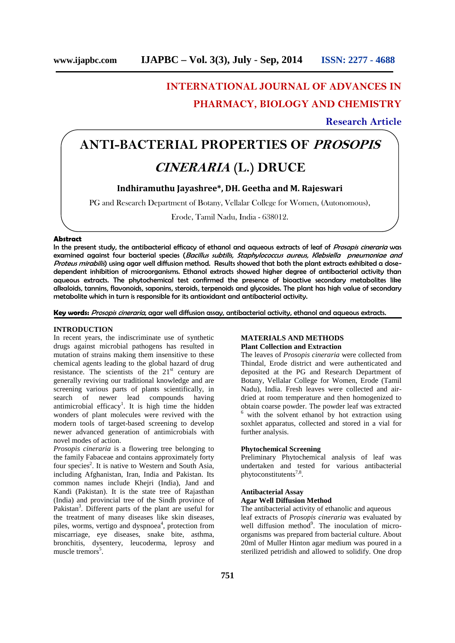# **INTERNATIONAL JOURNAL OF ADVANCES IN**

# **PHARMACY, BIOLOGY AND CHEMISTRY**

**Research Article**

# **ANTI-BACTERIAL PROPERTIES OF** *PROSOPIS CINERARIA* **(L.) DRUCE**

# **Indhiramuthu Jayashree\*, DH. Geetha and M. Rajeswari**

PG and Research Department of Botany, Vellalar College for Women, (Autonomous),

Erode, Tamil Nadu, India - 638012.

#### **Abstract**

In the present study, the antibacterial efficacy of ethanol and aqueous extracts of leaf of *Prosopis cineraria* was examined against four bacterial species (*Bacillus subtilis, Staphylococcus aureus, Klebsiella pneumoniae and Proteus mirabilis*) using agar well diffusion method. Results showed that both the plant extracts exhibited a dose dependent inhibition of microorganisms. Ethanol extracts showed higher degree of antibacterial activity than aqueous extracts. The phytochemical test confirmed the presence of bioactive secondary metabolites like alkaloids, tannins, flavonoids, saponins, steroids, terpenoids and glycosides. The plant has high value of secondary metabolite which in turn is responsible for its antioxidant and antibacterial activity.

## **Key words:** *Prosopis cineraria*, agar well diffusion assay, antibacterial activity, ethanol and aqueous extracts.

### **INTRODUCTION**

In recent years, the indiscriminate use of synthetic drugs against microbial pathogens has resulted in mutation of strains making them insensitive to these chemical agents leading to the global hazard of drug resistance. The scientists of the  $21<sup>st</sup>$  century are generally reviving our traditional knowledge and are screening various parts of plants scientifically, in search of newer lead compounds having antimicrobial efficacy<sup>1</sup>. It is high time the hidden wonders of plant molecules were revived with the modern tools of target-based screening to develop newer advanced generation of antimicrobials with novel modes of action.

*Prosopis cineraria* is a flowering tree belonging to the family Fabaceae and contains approximately forty four species<sup>2</sup>. It is native to Western and South Asia, including Afghanistan, Iran, India and Pakistan. Its common names include Khejri (India), Jand and Kandi (Pakistan). It is the state tree of Rajasthan (India) and provincial tree of the Sindh province of Pakistan<sup>3</sup>. Different parts of the plant are useful for the treatment of many diseases like skin diseases, piles, worms, vertigo and dyspnoea<sup>4</sup>, protection from well miscarriage, eye diseases, snake bite, asthma, bronchitis, dysentery, leucoderma, leprosy and muscle tremors<sup>5</sup>.

# **MATERIALS AND METHODS Plant Collection and Extraction**

The leaves of *Prosopis cineraria* were collected from Thindal, Erode district and were authenticated and deposited at the PG and Research Department of Botany, Vellalar College for Women, Erode (Tamil Nadu), India. Fresh leaves were collected and air dried at room temperature and then homogenized to obtain coarse powder. The powder leaf was extracted <sup>6</sup> with the solvent ethanol by hot extraction using

soxhlet apparatus, collected and stored in a vial for further analysis.

# **Phytochemical Screening**

Preliminary Phytochemical analysis of leaf was undertaken and tested for various antibacterial phytoconstitutents<sup>7,8</sup>.

# **Antibacterial Assay**

# **Agar Well Diffusion Method**

The antibacterial activity of ethanolic and aqueous leaf extracts of *Prosopis cineraria* was evaluated by well diffusion method<sup>9</sup>. The inoculation of microorganisms was prepared from bacterial culture. About 20ml of Muller Hinton agar medium was poured in a sterilized petridish and allowed to solidify. One drop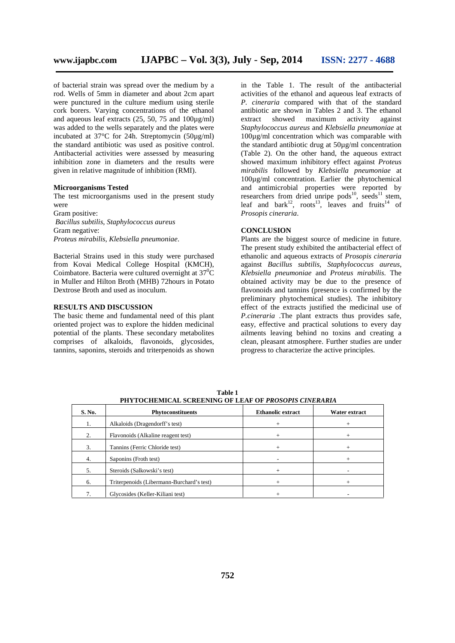of bacterial strain was spread over the medium by a rod. Wells of 5mm in diameter and about 2cm apart were punctured in the culture medium using sterile cork borers. Varying concentrations of the ethanol and aqueous leaf extracts (25, 50, 75 and 100µg/ml) was added to the wells separately and the plates were incubated at 37°C for 24h. Streptomycin (50µg/ml) the standard antibiotic was used as positive control. Antibacterial activities were assessed by measuring inhibition zone in diameters and the results were given in relative magnitude of inhibition (RMI).

### **Microorganisms Tested**

The test microorganisms used in the present study were Gram positive:

*Bacillus subtilis*, *Staphylococcus aureus* Gram negative: *Proteus mirabilis*, *Klebsiella pneumoniae*.

Bacterial Strains used in this study were purchased from Kovai Medical College Hospital (KMCH), Coimbatore. Bacteria were cultured overnight at  $37^0C$ in Muller and Hilton Broth (MHB) 72hours in Potato Dextrose Broth and used as inoculum.

# **RESULTS AND DISCUSSION**

The basic theme and fundamental need of this plant oriented project was to explore the hidden medicinal potential of the plants. These secondary metabolites comprises of alkaloids, flavonoids, glycosides, tannins, saponins, steroids and triterpenoids as shown

in the Table 1. The result of the antibacterial activities of the ethanol and aqueous leaf extracts of *P. cineraria* compared with that of the standard antibiotic are shown in Tables 2 and 3. The ethanol extract showed maximum activity against *Staphylococcus aureus* and *Klebsiella pneumoniae* at 100µg/ml concentration which was comparable with the standard antibiotic drug at 50µg/ml concentration (Table 2). On the other hand, the aqueous extract showed maximum inhibitory effect against *Proteus mirabilis* followed by *Klebsiella pneumoniae* at 100µg/ml concentration. Earlier the phytochemical and antimicrobial properties were reported by researchers from dried unripe  $pods^{10}$ , seeds<sup>11</sup> stem, leaf and bark<sup>12</sup>, roots<sup>13</sup>, leaves and fruits<sup>14</sup> of *Prosopis cineraria*.

## **CONCLUSION**

Plants are the biggest source of medicine in future. The present study exhibited the antibacterial effect of ethanolic and aqueous extracts of *Prosopis cineraria* against *Bacillus subtilis*, *Staphylococcus aureus*, *Klebsiella pneumoniae* and *Proteus mirabilis*. The obtained activity may be due to the presence of flavonoids and tannins (presence is confirmed by the preliminary phytochemical studies). The inhibitory effect of the extracts justified the medicinal use of *P.cineraria* .The plant extracts thus provides safe, easy, effective and practical solutions to every day ailments leaving behind no toxins and creating a clean, pleasant atmosphere. Further studies are under progress to characterize the active principles.

| S. No. | <b>Phytoconstituents</b>                  | Ethanolic extract | Water extract |
|--------|-------------------------------------------|-------------------|---------------|
| 1.     | Alkaloids (Dragendorff's test)            | $\pm$             |               |
| 2.     | Flavonoids (Alkaline reagent test)        | $^{+}$            | $^+$          |
| 3.     | Tannins (Ferric Chloride test)            |                   | $^+$          |
| 4.     | Saponins (Froth test)                     |                   | $^+$          |
| 5.     | Steroids (Salkowski's test)               |                   |               |
| 6.     | Triterpenoids (Libermann-Burchard's test) | $^{+}$            | $^+$          |
|        | Glycosides (Keller-Kiliani test)          |                   |               |

**Table 1 PHYTOCHEMICAL SCREENING OF LEAF OF** *PROSOPIS CINERARIA*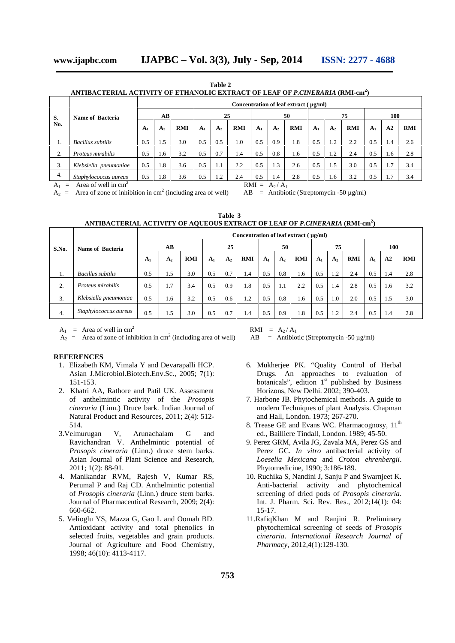**Table 2**

**ANTIBACTERIAL ACTIVITY OF ETHANOLIC EXTRACT OF LEAF OF** *P.CINERARIA* **(RMI-cm<sup>2</sup> )**

|                                                               |                         | Concentration of leaf extract ( µg/ml) |                |            |                |                |            |                |                |            |                |                |            |                |     |            |
|---------------------------------------------------------------|-------------------------|----------------------------------------|----------------|------------|----------------|----------------|------------|----------------|----------------|------------|----------------|----------------|------------|----------------|-----|------------|
| S.                                                            | <b>Name of Bacteria</b> | AB                                     |                |            | 25             |                |            |                |                | 50         |                |                | 75         | 100            |     |            |
| No.                                                           |                         | A <sub>1</sub>                         | A <sub>2</sub> | <b>RMI</b> | A <sub>1</sub> | A <sub>2</sub> | <b>RMI</b> | A <sub>1</sub> | A <sub>2</sub> | <b>RMI</b> | A <sub>1</sub> | A <sub>2</sub> | <b>RMI</b> | A <sub>1</sub> | A2  | <b>RMI</b> |
|                                                               | Bacillus subtilis       | 0.5                                    | 1.5            | 3.0        | 0.5            | 0.5            | 1.0        | 0.5            | 0.9            | 1.8        | 0.5            | 1.2            | 2.2        | 0.5            | 1.4 | 2.6        |
| $\sim$<br>۷.                                                  | Proteus mirabilis       | 0.5                                    | 1.6            | 3.2        | 0.5            | 0.7            | 1.4        | 0.5            | 0.8            | 1.6        | 0.5            | 1.2            | 2.4        | 0.5            | 1.6 | 2.8        |
| 3.                                                            | Klebsiella pneumoniae   | 0.5                                    | 1.8            | 3.6        | 0.5            | 1.1            | 2.2        | 0.5            | 1.3            | 2.6        | 0.5            | 1.5            | 3.0        | 0.5            | 1.7 | 3.4        |
| 4.                                                            | Staphylococcus aureus   | 0.5                                    | 1.8            | 3.6        | 0.5            | 1.2            | 2.4        | 0.5            | 1.4            | 2.8        | 0.5            | 1.6            | 3.2        | 0.5            | 1.7 | 3.4        |
| Area of well in $cm2$<br>$RMI = A_2/A_1$<br>$A_1$<br>$\equiv$ |                         |                                        |                |            |                |                |            |                |                |            |                |                |            |                |     |            |

 $A_2$  = Area of zone of inhibition in cm<sup>2</sup> (including area of well)

 $AB$  = Antibiotic (Streptomycin -50  $\mu$ g/ml)

 $\overline{\phantom{0}}$ 

| Table 3                                                                                         |
|-------------------------------------------------------------------------------------------------|
| ANTIBACTERIAL ACTIVITY OF AQUEOUS EXTRACT OF LEAF OF <i>P.CINERARIA (</i> RMI-cm <sup>2</sup> ) |

|       | <b>Name of Bacteria</b>  | Concentration of leaf extract ( µg/ml) |                |     |                |                |            |                |                |            |                |                |     |                |     |            |
|-------|--------------------------|----------------------------------------|----------------|-----|----------------|----------------|------------|----------------|----------------|------------|----------------|----------------|-----|----------------|-----|------------|
| S.No. |                          | AB                                     |                |     | 25             |                |            | 50             |                |            | 75             |                |     | 100            |     |            |
|       |                          | A <sub>1</sub>                         | A <sub>2</sub> | RMI | A <sub>1</sub> | A <sub>2</sub> | <b>RMI</b> | A <sub>1</sub> | A <sub>2</sub> | <b>RMI</b> | A <sub>1</sub> | A <sub>2</sub> | RMI | A <sub>1</sub> | A2  | <b>RMI</b> |
| 1.    | <b>Bacillus</b> subtilis | 0.5                                    | 1.5            | 3.0 | 0.5            | 0.7            | 1.4        | 0.5            | 0.8            | 1.6        | 0.5            | 1.2            | 2.4 | 0.5            | 1.4 | 2.8        |
| 2.    | Proteus mirabilis        | 0.5                                    | 1.7            | 3.4 | 0.5            | 0.9            | 1.8        | 0.5            | 1.1            | 2.2        | 0.5            | 1.4            | 2.8 | 0.5            | 1.6 | 3.2        |
| 3.    | Klebsiella pneumoniae    | 0.5                                    | 1.6            | 3.2 | 0.5            | 0.6            | 1.2        | 0.5            | 0.8            | 1.6        | 0.5            | 1.0            | 2.0 | 0.5            | 1.5 | 3.0        |
| 4.    | Staphylococcus aureus    | 0.5                                    | 1.5            | 3.0 | 0.5            | 0.7            | 1.4        | 0.5            | 0.9            | 1.8        | 0.5            | 1.2            | 2.4 | 0.5            | 1.4 | 2.8        |

 $A_1$  = Area of well in cm<sup>2</sup>

 $A_2$  = Area of zone of inhibition in cm<sup>2</sup> (including area of well)

#### **REFERENCES**

- 1. Elizabeth KM, Vimala Y and Devarapalli HCP. Asian J.Microbiol.Biotech.Env.Sc., 2005; 7(1): 151-153.
- 2. Khatri AA, Rathore and Patil UK. Assessment of anthelmintic activity of the *Prosopis cineraria* (Linn.) Druce bark. Indian Journal of Natural Product and Resources, 2011; 2(4): 512- 514.
- 3.Velmurugan V, Arunachalam G and Ravichandran V. Anthelmintic potential of *Prosopis cineraria* (Linn.) druce stem barks. Asian Journal of Plant Science and Research, 2011; 1(2): 88-91.
- 4. Manikandar RVM, Rajesh V, Kumar RS, Perumal P and Raj CD. Anthelmintic potential of *Prosopis cineraria* (Linn.) druce stem barks. Journal of Pharmaceutical Research, 2009; 2(4): 660-662.
- 5. Velioglu YS, Mazza G, Gao L and Oomah BD. Antioxidant activity and total phenolics in selected fruits, vegetables and grain products. Journal of Agriculture and Food Chemistry, 1998; 46(10): 4113-4117.

 $RMI = A_2/A_1$ 

 $AB$  = Antibiotic (Streptomycin -50 µg/ml)

- 6. Mukherjee PK. "Quality Control of Herbal Drugs. An approaches to evaluation of botanicals", edition  $1<sup>st</sup>$  published by Business Horizons, New Delhi. 2002; 390-403.
- 7. Harbone JB. Phytochemical methods. A guide to modern Techniques of plant Analysis. Chapman and Hall, London. 1973; 267-270.
- 8. Trease GE and Evans WC. Pharmacognosy, 11<sup>th</sup> ed., Bailliere Tindall, London. 1989; 45-50.
- 9. Perez GRM, Avila JG, Zavala MA, Perez GS and Perez GC. *In vitro* antibacterial activity of *Loeselia Mexicana* and *Croton ehrenbergii*. Phytomedicine, 1990; 3:186-189.
- 10. Ruchika S, Nandini J, Sanju P and Swarnjeet K. Anti-bacterial activity and phytochemical screening of dried pods of *Prosopis cineraria*. Int. J. Pharm. Sci. Rev. Res., 2012;14(1): 04: 15-17.
- 11.RafiqKhan M and Ranjini R. Preliminary phytochemical screening of seeds of *Prosopis cineraria*. *International Research Journal of Pharmacy*, 2012,4(1):129-130.